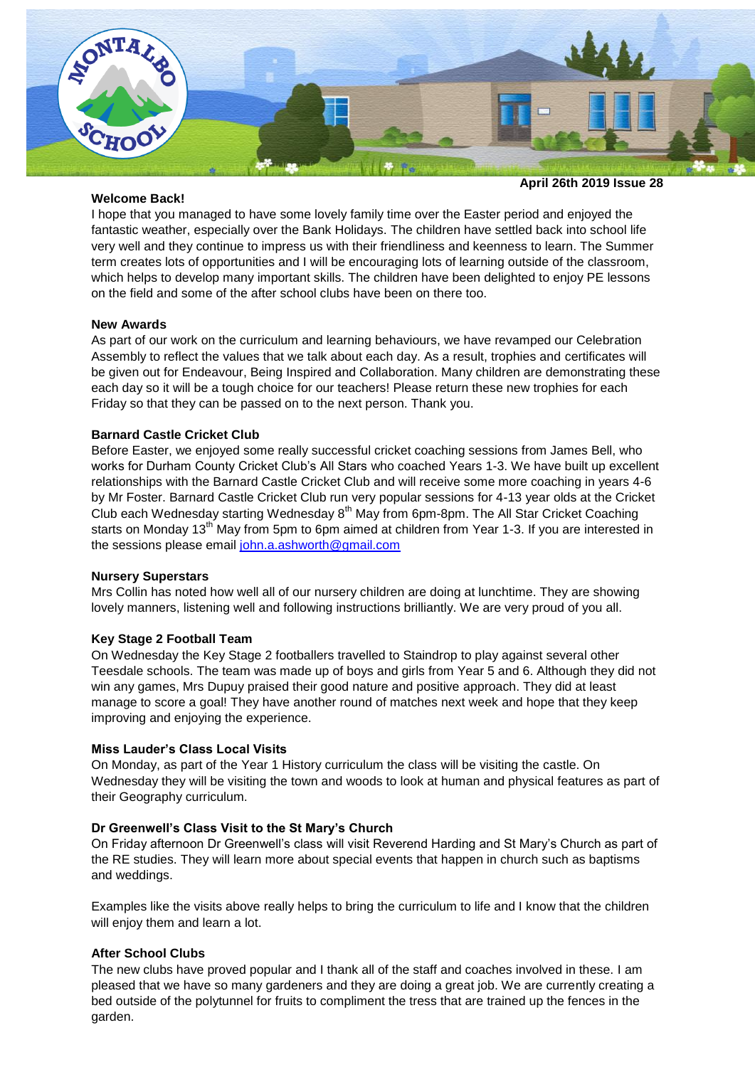

#### **Welcome Back!**

#### **April 26th 2019 Issue 28**

I hope that you managed to have some lovely family time over the Easter period and enjoyed the fantastic weather, especially over the Bank Holidays. The children have settled back into school life very well and they continue to impress us with their friendliness and keenness to learn. The Summer term creates lots of opportunities and I will be encouraging lots of learning outside of the classroom, which helps to develop many important skills. The children have been delighted to enjoy PE lessons on the field and some of the after school clubs have been on there too.

## **New Awards**

As part of our work on the curriculum and learning behaviours, we have revamped our Celebration Assembly to reflect the values that we talk about each day. As a result, trophies and certificates will be given out for Endeavour, Being Inspired and Collaboration. Many children are demonstrating these each day so it will be a tough choice for our teachers! Please return these new trophies for each Friday so that they can be passed on to the next person. Thank you.

## **Barnard Castle Cricket Club**

Before Easter, we enjoyed some really successful cricket coaching sessions from James Bell, who works for Durham County Cricket Club's All Stars who coached Years 1-3. We have built up excellent relationships with the Barnard Castle Cricket Club and will receive some more coaching in years 4-6 by Mr Foster. Barnard Castle Cricket Club run very popular sessions for 4-13 year olds at the Cricket Club each Wednesday starting Wednesday 8<sup>th</sup> May from 6pm-8pm. The All Star Cricket Coaching starts on Monday 13<sup>th</sup> May from 5pm to 6pm aimed at children from Year 1-3. If you are interested in the sessions please email [john.a.ashworth@gmail.com](mailto:john.a.ashworth@gmail.com)

#### **Nursery Superstars**

Mrs Collin has noted how well all of our nursery children are doing at lunchtime. They are showing lovely manners, listening well and following instructions brilliantly. We are very proud of you all.

# **Key Stage 2 Football Team**

On Wednesday the Key Stage 2 footballers travelled to Staindrop to play against several other Teesdale schools. The team was made up of boys and girls from Year 5 and 6. Although they did not win any games, Mrs Dupuy praised their good nature and positive approach. They did at least manage to score a goal! They have another round of matches next week and hope that they keep improving and enjoying the experience.

#### **Miss Lauder's Class Local Visits**

On Monday, as part of the Year 1 History curriculum the class will be visiting the castle. On Wednesday they will be visiting the town and woods to look at human and physical features as part of their Geography curriculum.

#### **Dr Greenwell's Class Visit to the St Mary's Church**

On Friday afternoon Dr Greenwell's class will visit Reverend Harding and St Mary's Church as part of the RE studies. They will learn more about special events that happen in church such as baptisms and weddings.

Examples like the visits above really helps to bring the curriculum to life and I know that the children will enjoy them and learn a lot.

#### **After School Clubs**

The new clubs have proved popular and I thank all of the staff and coaches involved in these. I am pleased that we have so many gardeners and they are doing a great job. We are currently creating a bed outside of the polytunnel for fruits to compliment the tress that are trained up the fences in the garden.